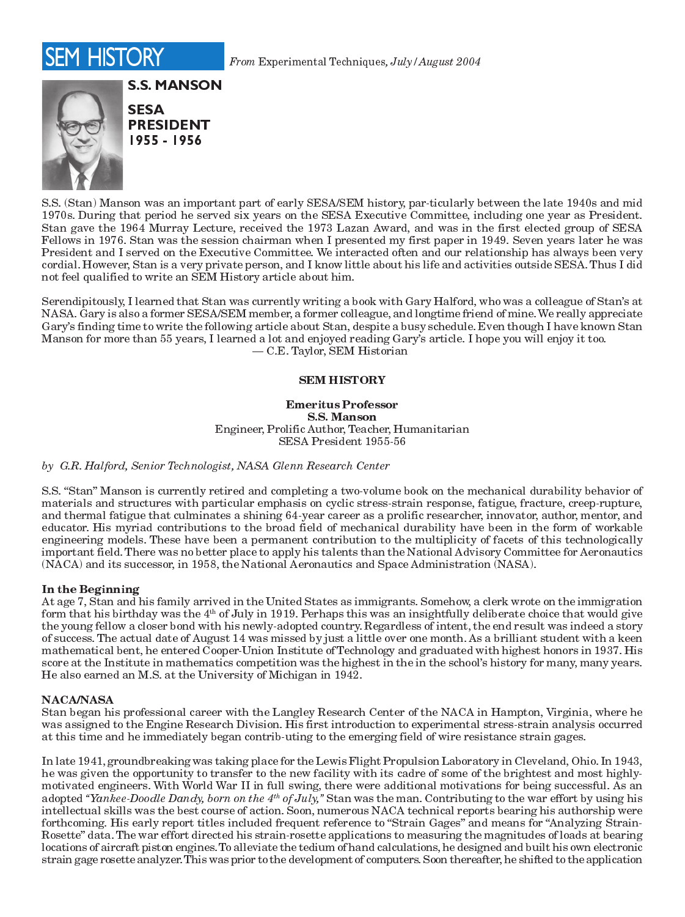

From Experimental Techniques, July/August 2004



**S.S. MANSON SESA PRESIDENT** 1955 - 1956

S.S. (Stan) Manson was an important part of early SESA/SEM history, par-ticularly between the late 1940s and mid 1970s. During that period he served six years on the SESA Executive Committee, including one year as President. Stan gave the 1964 Murray Lecture, received the 1973 Lazan Award, and was in the first elected group of SESA Fellows in 1976. Stan was the session chairman when I presented my first paper in 1949. Seven years later he was President and I served on the Executive Committee. We interacted often and our relationship has always been very cordial. However, Stan is a very private person, and I know little about his life and activities outside SESA. Thus I did not feel qualified to write an SEM History article about him.

Serendipitously, I learned that Stan was currently writing a book with Gary Halford, who was a colleague of Stan's at NASA. Gary is also a former SESA/SEM member, a former colleague, and longtime friend of mine. We really appreciate Gary's finding time to write the following article about Stan, despite a busy schedule. Even though I have known Stan Manson for more than 55 years, I learned a lot and enjoyed reading Gary's article. I hope you will enjoy it too. - C.E. Taylor, SEM Historian

### **SEM HISTORY**

**Emeritus Professor S.S. Manson** Engineer, Prolific Author, Teacher, Humanitarian SESA President 1955-56

by G.R. Halford, Senior Technologist, NASA Glenn Research Center

S.S. "Stan" Manson is currently retired and completing a two-volume book on the mechanical durability behavior of materials and structures with particular emphasis on cyclic stress-strain response, fatigue, fracture, creep-rupture, and thermal fatigue that culminates a shining 64-year career as a prolific researcher, innovator, author, mentor, and educator. His myriad contributions to the broad field of mechanical durability have been in the form of workable engineering models. These have been a permanent contribution to the multiplicity of facets of this technologically important field. There was no better place to apply his talents than the National Advisory Committee for Aeronautics (NACA) and its successor, in 1958, the National Aeronautics and Space Administration (NASA).

# In the Beginning

At age 7, Stan and his family arrived in the United States as immigrants. Somehow, a clerk wrote on the immigration form that his birthday was the 4<sup>th</sup> of July in 1919. Perhaps this was an insightfully deliberate choice that would give the young fellow a closer bond with his newly-adopted country. Regardless of intent, the end result was indeed a story of success. The actual date of August 14 was missed by just a little over one month. As a brilliant student with a keen mathematical bent, he entered Cooper-Union Institute of Technology and graduated with highest honors in 1937. His score at the Institute in mathematics competition was the highest in the in the school's history for many, many years. He also earned an M.S. at the University of Michigan in 1942.

#### **NACA/NASA**

Stan began his professional career with the Langley Research Center of the NACA in Hampton, Virginia, where he was assigned to the Engine Research Division. His first introduction to experimental stress-strain analysis occurred at this time and he immediately began contrib-uting to the emerging field of wire resistance strain gages.

In late 1941, groundbreaking was taking place for the Lewis Flight Propulsion Laboratory in Cleveland, Ohio. In 1943, he was given the opportunity to transfer to the new facility with its cadre of some of the brightest and most highlymotivated engineers. With World War II in full swing, there were additional motivations for being successful. As an adopted "Yankee-Doodle Dandy, born on the 4<sup>th</sup> of July," Stan was the man. Contributing to the war effort by using his intellectual skills was the best course of action. Soon, numerous NACA technical reports bearing his authorship were forthcoming. His early report titles included frequent reference to "Strain Gages" and means for "Analyzing Strain-Rosette" data. The war effort directed his strain-rosette applications to measuring the magnitudes of loads at bearing locations of aircraft piston engines. To alleviate the tedium of hand calculations, he designed and built his own electronic strain gage rosette analyzer. This was prior to the development of computers. Soon thereafter, he shifted to the application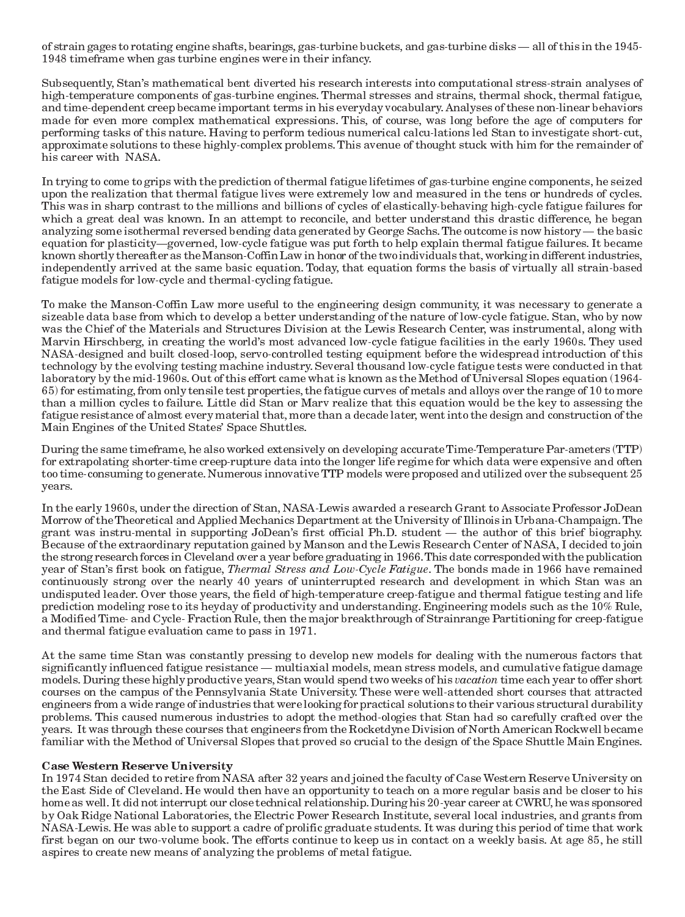of strain gages to rotating engine shafts, bearings, gas-turbine buckets, and gas-turbine disks — all of this in the 1945-1948 timeframe when gas turbine engines were in their infancy.

Subsequently, Stan's mathematical bent diverted his research interests into computational stress-strain analyses of high-temperature components of gas-turbine engines. Thermal stresses and strains, thermal shock, thermal fatigue, and time-dependent creep became important terms in his everyday vocabulary. Analyses of these non-linear behaviors made for even more complex mathematical expressions. This, of course, was long before the age of computers for performing tasks of this nature. Having to perform tedious numerical calcu-lations led Stan to investigate short-cut, approximate solutions to these highly-complex problems. This avenue of thought stuck with him for the remainder of his career with NASA.

In trying to come to grips with the prediction of thermal fatigue lifetimes of gas-turbine engine components, he seized upon the realization that thermal fatigue lives were extremely low and measured in the tens or hundreds of cycles. This was in sharp contrast to the millions and billions of cycles of elastically-behaving high-cycle fatigue failures for which a great deal was known. In an attempt to reconcile, and better understand this drastic difference, he began analyzing some isothermal reversed bending data generated by George Sachs. The outcome is now history — the basic equation for plasticity—governed, low-cycle fatigue was put forth to help explain thermal fatigue failures. It became known shortly thereafter as the Manson-Coffin Law in honor of the two individuals that, working in different industries, independently arrived at the same basic equation. Today, that equation forms the basis of virtually all strain-based fatigue models for low-cycle and thermal-cycling fatigue.

To make the Manson-Coffin Law more useful to the engineering design community, it was necessary to generate a sizeable data base from which to develop a better understanding of the nature of low-cycle fatigue. Stan, who by now was the Chief of the Materials and Structures Division at the Lewis Research Center, was instrumental, along with Marvin Hirschberg, in creating the world's most advanced low-cycle fatigue facilities in the early 1960s. They used NASA-designed and built closed-loop, servo-controlled testing equipment before the widespread introduction of this technology by the evolving testing machine industry. Several thousand low-cycle fatigue tests were conducted in that laboratory by the mid-1960s. Out of this effort came what is known as the Method of Universal Slopes equation (1964-65) for estimating, from only tensile test properties, the fatigue curves of metals and alloys over the range of 10 to more than a million cycles to failure. Little did Stan or Marv realize that this equation would be the key to assessing the fatigue resistance of almost every material that, more than a decade later, went into the design and construction of the Main Engines of the United States' Space Shuttles.

During the same timeframe, he also worked extensively on developing accurate Time-Temperature Par-ameters (TTP) for extrapolating shorter-time creep-rupture data into the longer life regime for which data were expensive and often too time-consuming to generate. Numerous innovative TTP models were proposed and utilized over the subsequent 25 years.

In the early 1960s, under the direction of Stan, NASA-Lewis awarded a research Grant to Associate Professor JoDean Morrow of the Theoretical and Applied Mechanics Department at the University of Illinois in Urbana-Champaign. The grant was instru-mental in supporting JoDean's first official Ph.D. student — the author of this brief biography. Because of the extraordinary reputation gained by Manson and the Lewis Research Center of NASA, I decided to join the strong research forces in Cleveland over a year before graduating in 1966. This date corresponded with the publication year of Stan's first book on fatigue, Thermal Stress and Low-Cycle Fatigue. The bonds made in 1966 have remained continuously strong over the nearly 40 years of uninterrupted research and development in which Stan was an undisputed leader. Over those years, the field of high-temperature creep-fatigue and thermal fatigue testing and life prediction modeling rose to its heyday of productivity and understanding. Engineering models such as the 10% Rule, a Modified Time- and Cycle-Fraction Rule, then the major breakthrough of Strainrange Partitioning for creep-fatigue and thermal fatigue evaluation came to pass in 1971.

At the same time Stan was constantly pressing to develop new models for dealing with the numerous factors that significantly influenced fatigue resistance — multiaxial models, mean stress models, and cumulative fatigue damage models. During these highly productive years, Stan would spend two weeks of his vacation time each year to offer short courses on the campus of the Pennsylvania State University. These were well-attended short courses that attracted engineers from a wide range of industries that were looking for practical solutions to their various structural durability problems. This caused numerous industries to adopt the method-ologies that Stan had so carefully crafted over the years. It was through these courses that engineers from the Rocketdyne Division of North American Rockwell became familiar with the Method of Universal Slopes that proved so crucial to the design of the Space Shuttle Main Engines.

#### **Case Western Reserve University**

In 1974 Stan decided to retire from NASA after 32 years and joined the faculty of Case Western Reserve University on the East Side of Cleveland. He would then have an opportunity to teach on a more regular basis and be closer to his home as well. It did not interrupt our close technical relationship. During his 20-year career at CWRU, he was sponsored by Oak Ridge National Laboratories, the Electric Power Research Institute, several local industries, and grants from NASA-Lewis. He was able to support a cadre of prolific graduate students. It was during this period of time that work first began on our two-volume book. The efforts continue to keep us in contact on a weekly basis. At age 85, he still aspires to create new means of analyzing the problems of metal fatigue.